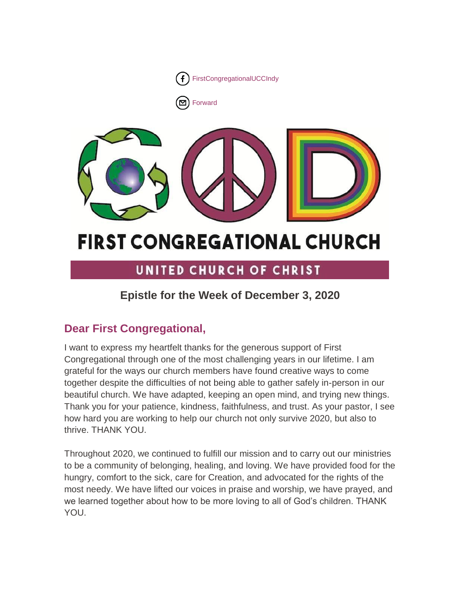

[Forward](http://us16.forward-to-friend.com/forward?u=7a2e4c501545b6d78729a64a1&id=4700a06097&e=%5bUNIQID%5d)



# **FIRST CONGREGATIONAL CHURCH**

# UNITED CHURCH OF CHRIST

# **Epistle for the Week of December 3, 2020**

# **Dear First Congregational,**

I want to express my heartfelt thanks for the generous support of First Congregational through one of the most challenging years in our lifetime. I am grateful for the ways our church members have found creative ways to come together despite the difficulties of not being able to gather safely in-person in our beautiful church. We have adapted, keeping an open mind, and trying new things. Thank you for your patience, kindness, faithfulness, and trust. As your pastor, I see how hard you are working to help our church not only survive 2020, but also to thrive. THANK YOU.

Throughout 2020, we continued to fulfill our mission and to carry out our ministries to be a community of belonging, healing, and loving. We have provided food for the hungry, comfort to the sick, care for Creation, and advocated for the rights of the most needy. We have lifted our voices in praise and worship, we have prayed, and we learned together about how to be more loving to all of God's children. THANK YOU.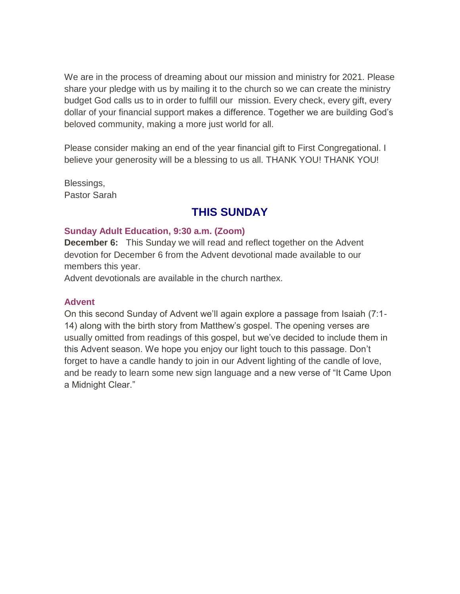We are in the process of dreaming about our mission and ministry for 2021. Please share your pledge with us by mailing it to the church so we can create the ministry budget God calls us to in order to fulfill our mission. Every check, every gift, every dollar of your financial support makes a difference. Together we are building God's beloved community, making a more just world for all.

Please consider making an end of the year financial gift to First Congregational. I believe your generosity will be a blessing to us all. THANK YOU! THANK YOU!

Blessings, Pastor Sarah

# **THIS SUNDAY**

#### **Sunday Adult Education, 9:30 a.m. (Zoom)**

**December 6:** This Sunday we will read and reflect together on the Advent devotion for December 6 from the Advent devotional made available to our members this year.

Advent devotionals are available in the church narthex.

#### **Advent**

On this second Sunday of Advent we'll again explore a passage from Isaiah (7:1- 14) along with the birth story from Matthew's gospel. The opening verses are usually omitted from readings of this gospel, but we've decided to include them in this Advent season. We hope you enjoy our light touch to this passage. Don't forget to have a candle handy to join in our Advent lighting of the candle of love, and be ready to learn some new sign language and a new verse of "It Came Upon a Midnight Clear."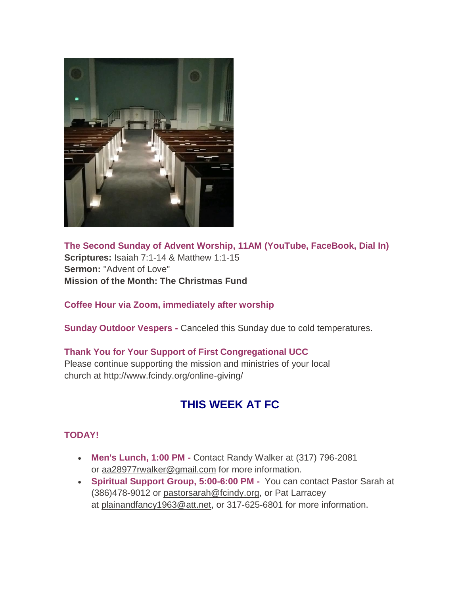

**The Second Sunday of Advent Worship, 11AM (YouTube, FaceBook, Dial In) Scriptures:** Isaiah 7:1-14 & Matthew 1:1-15 **Sermon:** "Advent of Love" **Mission of the Month: The Christmas Fund**

**Coffee Hour via Zoom, immediately after worship**

**Sunday Outdoor Vespers -** Canceled this Sunday due to cold temperatures.

## **Thank You for Your Support of First Congregational UCC**

Please continue supporting the mission and ministries of your local church at <http://www.fcindy.org/online-giving/>

# **THIS WEEK AT FC**

## **TODAY!**

- **Men's Lunch, 1:00 PM -** Contact Randy Walker at (317) 796-2081 or aa28977rwalker@gmail.com for more information.
- **Spiritual Support Group, 5:00-6:00 PM -** You can contact Pastor Sarah at (386)478-9012 or [pastorsarah@fcindy.org,](mailto:pastorsarah@fcindy.org) or Pat Larracey at [plainandfancy1963@att.net,](mailto:plainandfancy1963@att.net) or 317-625-6801 for more information.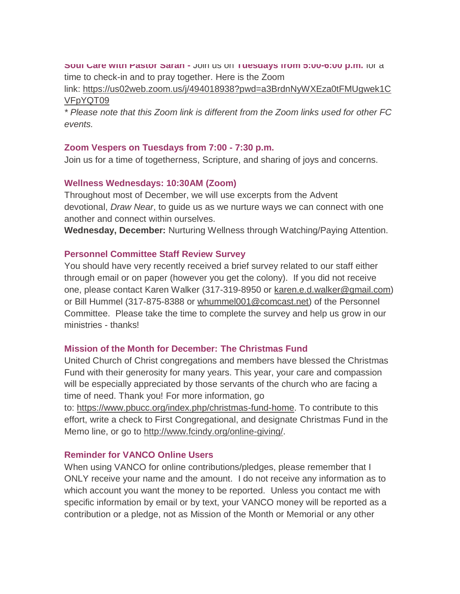#### **Soul Care with Pastor Sarah -** Join us on **Tuesdays from 5:00-6:00 p.m.** for a

time to check-in and to pray together. Here is the Zoom

link: [https://us02web.zoom.us/j/494018938?pwd=a3BrdnNyWXEza0tFMUgwek1C](https://us02web.zoom.us/j/494018938?pwd=a3BrdnNyWXEza0tFMUgwek1CVFpYQT09) [VFpYQT09](https://us02web.zoom.us/j/494018938?pwd=a3BrdnNyWXEza0tFMUgwek1CVFpYQT09)

*\* Please note that this Zoom link is different from the Zoom links used for other FC events.*

#### **Zoom Vespers on Tuesdays from 7:00 - 7:30 p.m.**

Join us for a time of togetherness, Scripture, and sharing of joys and concerns.

#### **Wellness Wednesdays: 10:30AM (Zoom)**

Throughout most of December, we will use excerpts from the Advent devotional, *Draw Near*, to guide us as we nurture ways we can connect with one another and connect within ourselves.

**Wednesday, December:** Nurturing Wellness through Watching/Paying Attention.

#### **Personnel Committee Staff Review Survey**

You should have very recently received a brief survey related to our staff either through email or on paper (however you get the colony). If you did not receive one, please contact Karen Walker (317-319-8950 or [karen.e.d.walker@gmail.com\)](mailto:karen.e.d.walker@gmail.com) or Bill Hummel (317-875-8388 or [whummel001@comcast.net\)](mailto:whummel001@comcast.net) of the Personnel Committee. Please take the time to complete the survey and help us grow in our ministries - thanks!

## **Mission of the Month for December: The Christmas Fund**

United Church of Christ congregations and members have blessed the Christmas Fund with their generosity for many years. This year, your care and compassion will be especially appreciated by those servants of the church who are facing a time of need. Thank you! For more information, go

to: [https://www.pbucc.org/index.php/christmas-fund-home.](https://www.pbucc.org/index.php/christmas-fund-home) To contribute to this effort, write a check to First Congregational, and designate Christmas Fund in the Memo line, or go to [http://www.fcindy.org/online-giving/.](http://www.fcindy.org/online-giving/)

## **Reminder for VANCO Online Users**

When using VANCO for online contributions/pledges, please remember that I ONLY receive your name and the amount. I do not receive any information as to which account you want the money to be reported. Unless you contact me with specific information by email or by text, your VANCO money will be reported as a contribution or a pledge, not as Mission of the Month or Memorial or any other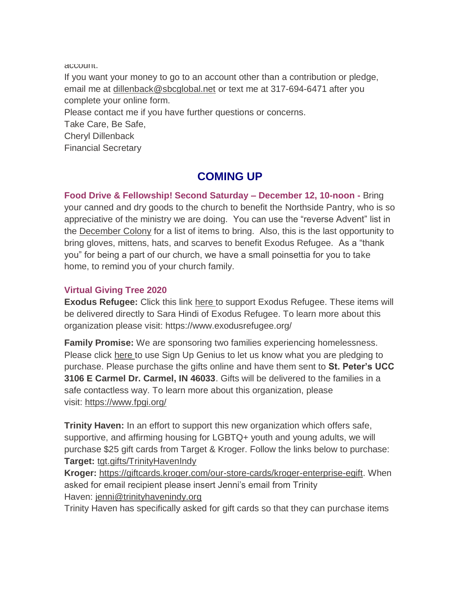account.

If you want your money to go to an account other than a contribution or pledge, email me at [dillenback@sbcglobal.net](mailto:dillenback@sbcglobal.net) or text me at 317-694-6471 after you complete your online form.

Please contact me if you have further questions or concerns.

Take Care, Be Safe,

Cheryl Dillenback

Financial Secretary

# **COMING UP**

**Food Drive & Fellowship! Second Saturday – December 12, 10-noon -** Bring your canned and dry goods to the church to benefit the Northside Pantry, who is so appreciative of the ministry we are doing. You can use the "reverse Advent" list in the [December Colony](https://mcusercontent.com/7a2e4c501545b6d78729a64a1/files/77c60d3d-f251-4144-a4eb-7f9c2500625f/December_Colony_2020.02.pdf) for a list of items to bring. Also, this is the last opportunity to bring gloves, mittens, hats, and scarves to benefit Exodus Refugee. As a "thank you" for being a part of our church, we have a small poinsettia for you to take home, to remind you of your church family.

## **Virtual Giving Tree 2020**

**Exodus Refugee:** Click this link [here](https://www.amazon.com/hz/wishlist/ls/2QT34JV9020GW?ref_=wl_share) to support Exodus Refugee. These items will be delivered directly to Sara Hindi of Exodus Refugee. To learn more about this organization please visit: https://www.exodusrefugee.org/

**Family Promise:** We are sponsoring two families experiencing homelessness. Please click [here](http://https/www.signupgenius.com/go/5080a4daea62aa4ff2-family) to use Sign Up Genius to let us know what you are pledging to purchase. Please purchase the gifts online and have them sent to **St. Peter's UCC 3106 E Carmel Dr. Carmel, IN 46033**. Gifts will be delivered to the families in a safe contactless way. To learn more about this organization, please visit: <https://www.fpgi.org/>

**Trinity Haven:** In an effort to support this new organization which offers safe, supportive, and affirming housing for LGBTQ+ youth and young adults, we will purchase \$25 gift cards from Target & Kroger. Follow the links below to purchase: **Target:** [tgt.gifts/TrinityHavenIndy](http://tgt.gifts/TrinityHavenIndy)

**Kroger:** [https://giftcards.kroger.com/our-store-cards/kroger-enterprise-egift.](https://giftcards.kroger.com/our-store-cards/kroger-enterprise-egift) When asked for email recipient please insert Jenni's email from Trinity Haven: [jenni@trinityhavenindy.org](mailto:jenni@trinityhavenindy.org)

Trinity Haven has specifically asked for gift cards so that they can purchase items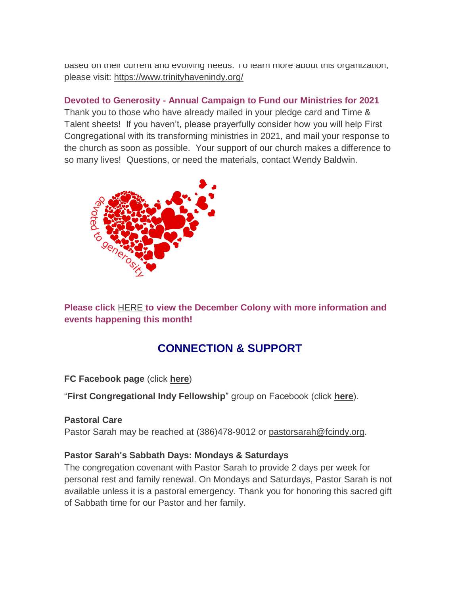based on their current and evolving needs. To learn more about this organization, please visit: <https://www.trinityhavenindy.org/>

#### **Devoted to Generosity - Annual Campaign to Fund our Ministries for 2021**

Thank you to those who have already mailed in your pledge card and Time & Talent sheets! If you haven't, please prayerfully consider how you will help First Congregational with its transforming ministries in 2021, and mail your response to the church as soon as possible. Your support of our church makes a difference to so many lives! Questions, or need the materials, contact Wendy Baldwin.



**Please click** [HERE](https://mcusercontent.com/7a2e4c501545b6d78729a64a1/files/95ecd861-1d88-4fcd-9489-945be389df37/December_Colony_2020.01.pdf) **to view the December Colony with more information and events happening this month!**

# **CONNECTION & SUPPORT**

**FC Facebook page** (click **[here](https://www.facebook.com/FirstCongregationalUCCIndy/)**)

"**First Congregational Indy Fellowship**" group on Facebook (click **[here](https://www.facebook.com/groups/521333455186422/)**).

#### **Pastoral Care**

Pastor Sarah may be reached at (386)478-9012 or [pastorsarah@fcindy.org.](mailto:pastorsarah@fcindy.org)

#### **Pastor Sarah's Sabbath Days: Mondays & Saturdays**

The congregation covenant with Pastor Sarah to provide 2 days per week for personal rest and family renewal. On Mondays and Saturdays, Pastor Sarah is not available unless it is a pastoral emergency. Thank you for honoring this sacred gift of Sabbath time for our Pastor and her family.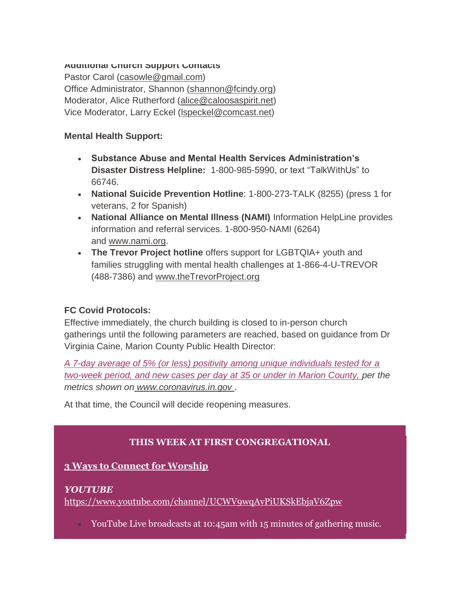#### **Additional Church Support Contacts**

Pastor Carol [\(casowle@gmail.com\)](mailto:casowle@gmail.com) Office Administrator, Shannon [\(shannon@fcindy.org\)](mailto:shannon@fcindy.org) Moderator, Alice Rutherford [\(alice@caloosaspirit.net\)](mailto:alice@caloosaspirit.net) Vice Moderator, Larry Eckel [\(lspeckel@comcast.net\)](mailto:lspeckel@comcast.net)

#### **Mental Health Support:**

- **Substance Abuse and Mental Health Services Administration's Disaster Distress Helpline:** 1-800-985-5990, or text "TalkWithUs" to 66746.
- **National Suicide Prevention Hotline**: 1-800-273-TALK (8255) (press 1 for veterans, 2 for Spanish)
- **National Alliance on Mental Illness (NAMI)** Information HelpLine provides information and referral services. 1-800-950-NAMI (6264) and [www.nami.org.](http://www.nami.org/)
- **The Trevor Project hotline** offers support for LGBTQIA+ youth and families struggling with mental health challenges at 1-866-4-U-TREVOR (488-7386) and [www.theTrevorProject.org](http://www.thetrevorproject.org/)

## **FC Covid Protocols:**

Effective immediately, the church building is closed to in-person church gatherings until the following parameters are reached, based on guidance from Dr Virginia Caine, Marion County Public Health Director:

*A 7-day average of 5% (or less) positivity among unique individuals tested for a two-week period, and new cases per day at 35 or under in Marion County, per the metrics shown on [www.coronavirus.in.gov](http://www.coronavirus.in.gov/) .* 

At that time, the Council will decide reopening measures.

## **THIS WEEK AT FIRST CONGREGATIONAL**

## **3 Ways to Connect for Worship**

#### *YOUTUBE*

<https://www.youtube.com/channel/UCWV9wqAvPiUKSkEbjaV6Zpw>

YouTube Live broadcasts at 10:45am with 15 minutes of gathering music.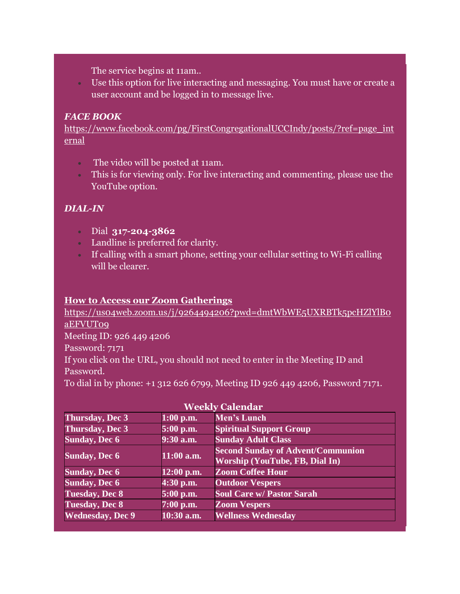The service begins at 11am..

 Use this option for live interacting and messaging. You must have or create a user account and be logged in to message live.

## *FACE BOOK*

[https://www.facebook.com/pg/FirstCongregationalUCCIndy/posts/?ref=page\\_int](https://www.facebook.com/pg/FirstCongregationalUCCIndy/posts/?ref=page_internal) [ernal](https://www.facebook.com/pg/FirstCongregationalUCCIndy/posts/?ref=page_internal)

- The video will be posted at 11am.
- This is for viewing only. For live interacting and commenting, please use the YouTube option.

## *DIAL-IN*

- Dial **317-204-3862**
- Landline is preferred for clarity.
- If calling with a smart phone, setting your cellular setting to Wi-Fi calling will be clearer.

## **How to Access our Zoom Gatherings**

[https://us04web.zoom.us/j/9264494206?pwd=dmtWbWE5UXRBTk5pcHZlYlB0](https://us04web.zoom.us/j/9264494206?pwd=dmtWbWE5UXRBTk5pcHZlYlB0aEFVUT09) [aEFVUT09](https://us04web.zoom.us/j/9264494206?pwd=dmtWbWE5UXRBTk5pcHZlYlB0aEFVUT09) Meeting ID: 926 449 4206 Password: 7171 If you click on the URL, you should not need to enter in the Meeting ID and Password. To dial in by phone: +1 312 626 6799, Meeting ID 926 449 4206, Password 7171.

| <b>Weekly Calendar</b>   |              |                                                                                   |
|--------------------------|--------------|-----------------------------------------------------------------------------------|
| Thursday, Dec 3          | $1:00$ p.m.  | Men's Lunch                                                                       |
| <b>Thursday, Dec 3</b>   | 5:00 p.m.    | <b>Spiritual Support Group</b>                                                    |
| <b>Sunday, Dec 6</b>     | 9:30 a.m.    | <b>Sunday Adult Class</b>                                                         |
| <b>Sunday, Dec 6</b>     | $11:00$ a.m. | <b>Second Sunday of Advent/Communion</b><br><b>Worship (YouTube, FB, Dial In)</b> |
| <b>Sunday, Dec 6</b>     | 12:00 p.m.   | <b>Zoom Coffee Hour</b>                                                           |
| <b>Sunday, Dec 6</b>     | 4:30 p.m.    | <b>Outdoor Vespers</b>                                                            |
| <b>Tuesday, Dec 8</b>    | 5:00 p.m.    | <b>Soul Care w/ Pastor Sarah</b>                                                  |
| <b>Tuesday, Dec 8</b>    | $7:00$ p.m.  | <b>Zoom Vespers</b>                                                               |
| <b>Wednesday</b> , Dec 9 | 10:30 a.m.   | <b>Wellness Wednesday</b>                                                         |